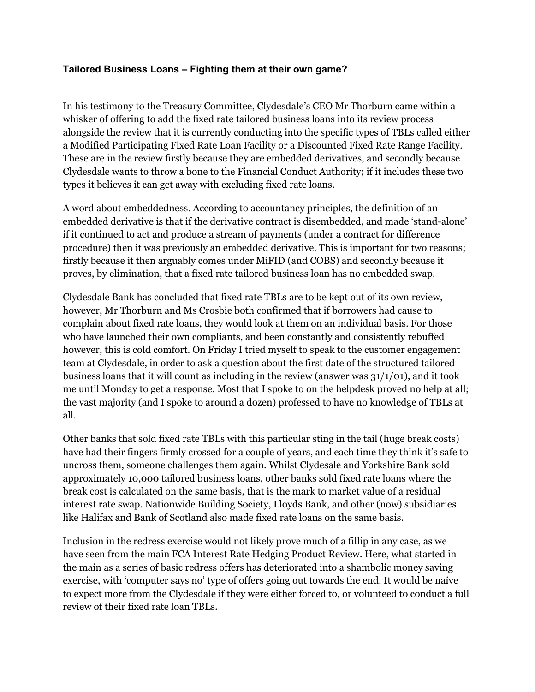## **Tailored Business Loans – Fighting them at their own game?**

In his testimony to the Treasury Committee, Clydesdale's CEO Mr Thorburn came within a whisker of offering to add the fixed rate tailored business loans into its review process alongside the review that it is currently conducting into the specific types of TBLs called either a Modified Participating Fixed Rate Loan Facility or a Discounted Fixed Rate Range Facility. These are in the review firstly because they are embedded derivatives, and secondly because Clydesdale wants to throw a bone to the Financial Conduct Authority; if it includes these two types it believes it can get away with excluding fixed rate loans.

A word about embeddedness. According to accountancy principles, the definition of an embedded derivative is that if the derivative contract is disembedded, and made 'stand-alone' if it continued to act and produce a stream of payments (under a contract for difference procedure) then it was previously an embedded derivative. This is important for two reasons; firstly because it then arguably comes under MiFID (and COBS) and secondly because it proves, by elimination, that a fixed rate tailored business loan has no embedded swap.

Clydesdale Bank has concluded that fixed rate TBLs are to be kept out of its own review, however, Mr Thorburn and Ms Crosbie both confirmed that if borrowers had cause to complain about fixed rate loans, they would look at them on an individual basis. For those who have launched their own compliants, and been constantly and consistently rebuffed however, this is cold comfort. On Friday I tried myself to speak to the customer engagement team at Clydesdale, in order to ask a question about the first date of the structured tailored business loans that it will count as including in the review (answer was  $31/1/01$ ), and it took me until Monday to get a response. Most that I spoke to on the helpdesk proved no help at all; the vast majority (and I spoke to around a dozen) professed to have no knowledge of TBLs at all.

Other banks that sold fixed rate TBLs with this particular sting in the tail (huge break costs) have had their fingers firmly crossed for a couple of years, and each time they think it's safe to uncross them, someone challenges them again. Whilst Clydesale and Yorkshire Bank sold approximately 10,000 tailored business loans, other banks sold fixed rate loans where the break cost is calculated on the same basis, that is the mark to market value of a residual interest rate swap. Nationwide Building Society, Lloyds Bank, and other (now) subsidiaries like Halifax and Bank of Scotland also made fixed rate loans on the same basis.

Inclusion in the redress exercise would not likely prove much of a fillip in any case, as we have seen from the main FCA Interest Rate Hedging Product Review. Here, what started in the main as a series of basic redress offers has deteriorated into a shambolic money saving exercise, with 'computer says no' type of offers going out towards the end. It would be naïve to expect more from the Clydesdale if they were either forced to, or volunteed to conduct a full review of their fixed rate loan TBLs.